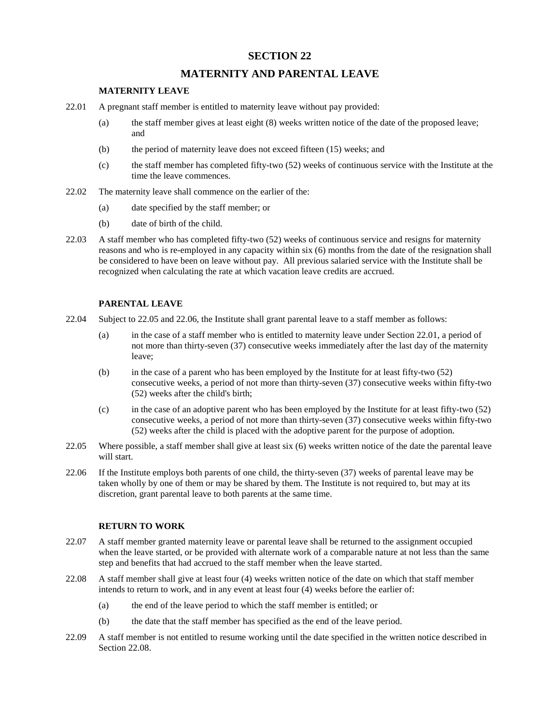## **SECTION 22**

# **MATERNITY AND PARENTAL LEAVE**

### **MATERNITY LEAVE**

- 22.01 A pregnant staff member is entitled to maternity leave without pay provided:
	- (a) the staff member gives at least eight (8) weeks written notice of the date of the proposed leave; and
	- (b) the period of maternity leave does not exceed fifteen (15) weeks; and
	- (c) the staff member has completed fifty-two (52) weeks of continuous service with the Institute at the time the leave commences.
- 22.02 The maternity leave shall commence on the earlier of the:
	- (a) date specified by the staff member; or
	- (b) date of birth of the child.
- 22.03 A staff member who has completed fifty-two (52) weeks of continuous service and resigns for maternity reasons and who is re-employed in any capacity within six (6) months from the date of the resignation shall be considered to have been on leave without pay. All previous salaried service with the Institute shall be recognized when calculating the rate at which vacation leave credits are accrued.

### **PARENTAL LEAVE**

- 22.04 Subject to 22.05 and 22.06, the Institute shall grant parental leave to a staff member as follows:
	- (a) in the case of a staff member who is entitled to maternity leave under Section 22.01, a period of not more than thirty-seven (37) consecutive weeks immediately after the last day of the maternity leave;
	- (b) in the case of a parent who has been employed by the Institute for at least fifty-two (52) consecutive weeks, a period of not more than thirty-seven (37) consecutive weeks within fifty-two (52) weeks after the child's birth;
	- (c) in the case of an adoptive parent who has been employed by the Institute for at least fifty-two (52) consecutive weeks, a period of not more than thirty-seven (37) consecutive weeks within fifty-two (52) weeks after the child is placed with the adoptive parent for the purpose of adoption.
- 22.05 Where possible, a staff member shall give at least six (6) weeks written notice of the date the parental leave will start.
- 22.06 If the Institute employs both parents of one child, the thirty-seven (37) weeks of parental leave may be taken wholly by one of them or may be shared by them. The Institute is not required to, but may at its discretion, grant parental leave to both parents at the same time.

### **RETURN TO WORK**

- 22.07 A staff member granted maternity leave or parental leave shall be returned to the assignment occupied when the leave started, or be provided with alternate work of a comparable nature at not less than the same step and benefits that had accrued to the staff member when the leave started.
- 22.08 A staff member shall give at least four (4) weeks written notice of the date on which that staff member intends to return to work, and in any event at least four (4) weeks before the earlier of:
	- (a) the end of the leave period to which the staff member is entitled; or
	- (b) the date that the staff member has specified as the end of the leave period.
- 22.09 A staff member is not entitled to resume working until the date specified in the written notice described in Section 22.08.